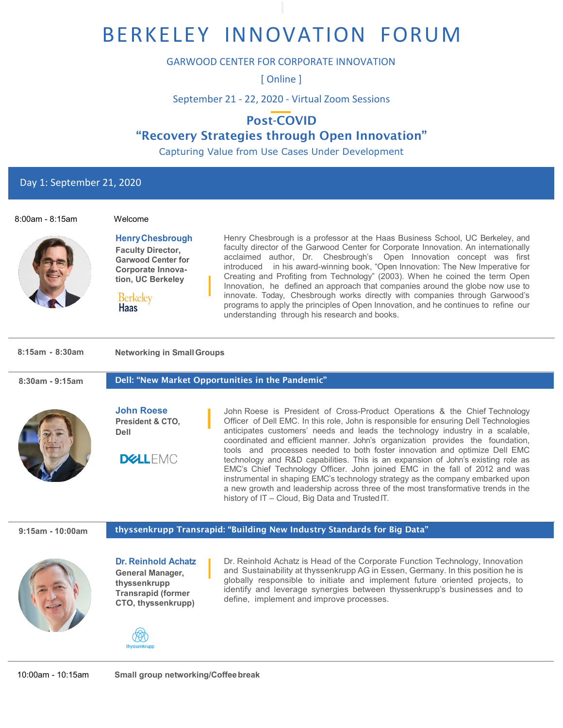# BERKELEY INNOVATION FORUM

### GARWOOD CENTER FOR CORPORATE INNOVATION

[ Online ]

September 21 - 22, 2020 - Virtual Zoom Sessions

# Post-COVID "Recovery Strategies through Open Innovation"

Capturing Value from Use Cases Under Development

Day 1: September 21, 2020



Berkelev **Haas** 

**HenryChesbrough Faculty Director, Garwood Center for Corporate Innovation, UC Berkeley**

Henry Chesbrough is a professor at the Haas Business School, UC Berkeley, and faculty director of the Garwood Center for Corporate Innovation. An internationally acclaimed author, Dr. Chesbrough's Open Innovation concept was first introduced in his award-winning book, "Open Innovation: The New Imperative for Creating and Profiting from Technology" (2003). When he coined the term Open Innovation, he defined an approach that companies around the globe now use to innovate. Today, Chesbrough works directly with companies through Garwood's programs to apply the principles of Open Innovation, and he continues to refine our understanding through his research and books.

#### **8:15am - 8:30am Networking in SmallGroups**

#### **8:30am - 9:15am** Dell: "New Market Opportunities in the Pandemic"



**John Roese President & CTO, Dell**

**DELLEMC** 

John Roese is President of Cross-Product Operations & the Chief Technology Officer of Dell EMC. In this role, John is responsible for ensuring Dell Technologies anticipates customers' needs and leads the technology industry in a scalable, coordinated and efficient manner. John's organization provides the foundation, tools and processes needed to both foster innovation and optimize Dell EMC technology and R&D capabilities. This is an expansion of John's existing role as EMC's Chief Technology Officer. John joined EMC in the fall of 2012 and was instrumental in shaping EMC's technology strategy as the company embarked upon a new growth and leadership across three of the most transformative trends in the history of IT - Cloud, Big Data and Trusted IT.

#### **9:15am - 10:00am**

thyssenkrupp Transrapid: "Building New Industry Standards for Big Data"



**Dr. Reinhold Achatz General Manager, thyssenkrupp Transrapid (former CTO, thyssenkrupp)**



Dr. Reinhold Achatz is Head of the Corporate Function Technology, Innovation and Sustainability at thyssenkrupp AG in Essen, Germany. In this position he is globally responsible to initiate and implement future oriented projects, to identify and leverage synergies between thyssenkrupp's businesses and to define, implement and improve processes.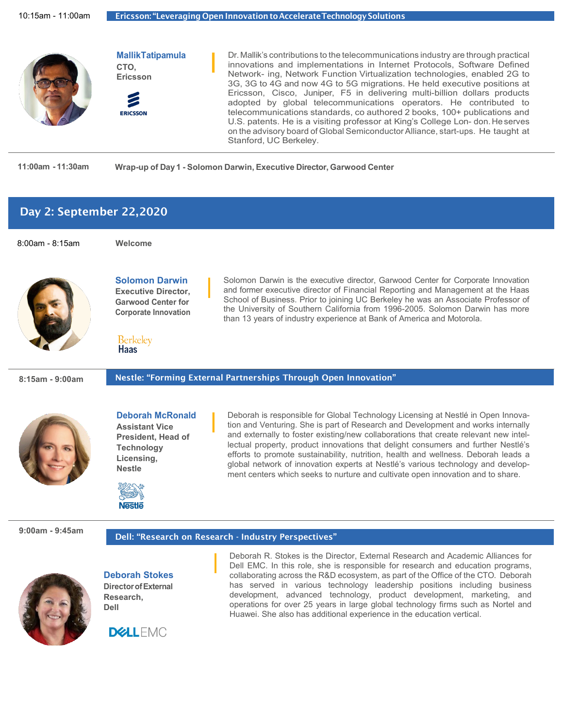

#### **11:00am - 11:30am Wrap-up of Day 1 - Solomon Darwin, Executive Director, Garwood Center**

## Day 2: September 22,2020

8:00am - 8:15am **Welcome**

**Berkelev Haas** 

**Solomon Darwin Executive Director, Garwood Center for Corporate Innovation**



Solomon Darwin is the executive director, Garwood Center for Corporate Innovation and former executive director of Financial Reporting and Management at the Haas School of Business. Prior to joining UC Berkeley he was an Associate Professor of the University of Southern California from 1996-2005. Solomon Darwin has more than 13 years of industry experience at Bank of America and Motorola.

#### **8:15am - 9:00am**

Nestle: "Forming External Partnerships Through Open Innovation"



**Deborah McRonald Assistant Vice President, Head of Technology Licensing, Nestle**

**Nestle** 

Deborah is responsible for Global Technology Licensing at Nestlé in Open Innovation and Venturing. She is part of Research and Development and works internally and externally to foster existing/new collaborations that create relevant new intellectual property, product innovations that delight consumers and further Nestlé's efforts to promote sustainability, nutrition, health and wellness. Deborah leads a global network of innovation experts at Nestlé's various technology and development centers which seeks to nurture and cultivate open innovation and to share.

#### **9:00am - 9:45am**

#### Dell: "Research on Research - Industry Perspectives"



**Deborah Stokes DirectorofExternal Research, Dell**

Deborah R. Stokes is the Director, External Research and Academic Alliances for Dell EMC. In this role, she is responsible for research and education programs, collaborating across the R&D ecosystem, as part of the Office of the CTO. Deborah has served in various technology leadership positions including business development, advanced technology, product development, marketing, and operations for over 25 years in large global technology firms such as Nortel and Huawei. She also has additional experience in the education vertical.

**DELLEMC**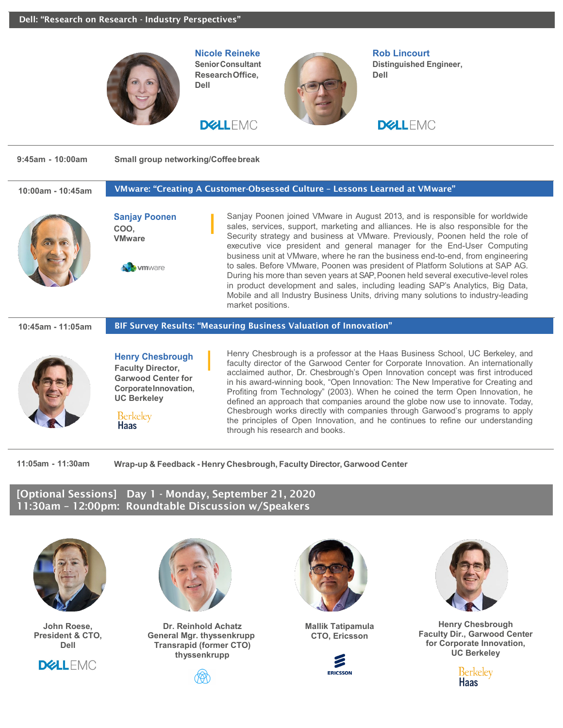

**11:05am - 11:30am Wrap-up & Feedback - Henry Chesbrough, Faculty Director, Garwood Center**

[Optional Sessions] Day 1 - Monday, September 21, 2020 11:30am – 12:00pm: Roundtable Discussion w/Speakers



**John Roese, President & CTO, Dell**





**Dr. Reinhold Achatz General Mgr. thyssenkrupp Transrapid (former CTO) thyssenkrupp**





**Mallik Tatipamula CTO, Ericsson**





**Henry Chesbrough Faculty Dir., Garwood Center for Corporate Innovation, UC Berkeley**

> Berkelev Haas